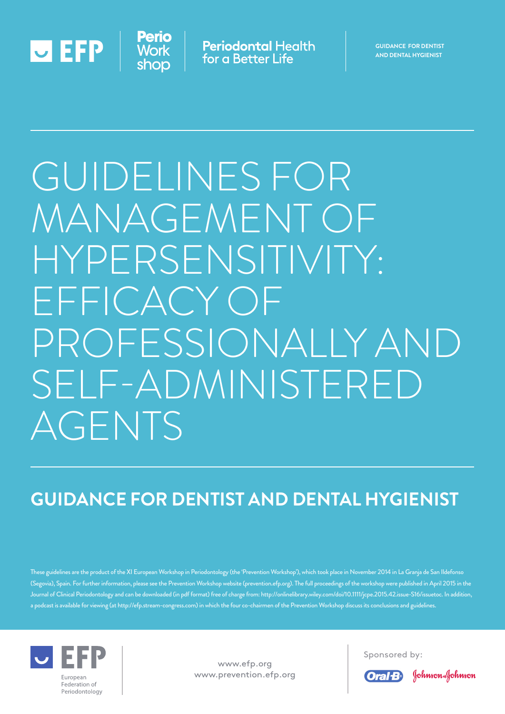

**Periodontal Health** for a Better Life

**GUIDANCE for dentist and dental hygienist**

# Guidelines for Management of Hypersensitivity: Efficacy of professionally and self-administered AGENTS

## **Guidance for Dentist and Dental Hygienist**

These guidelines are the product of the XI European Workshop in Periodontology (the 'Prevention Workshop'), which took place in November 2014 in La Granja de San Ildefonso (Segovia), Spain. For further information, please see the Prevention Workshop website (prevention.efp.org). The full proceedings of the workshop were published in April 2015 in the Journal of Clinical Periodontology and can be downloaded (in pdf format) free of charge from: http://onlinelibrary.wiley.com/doi/10.1111/jcpe.2015.42.issue-S16/issuetoc. In addition, a podcast is available for viewing (at http://efp.stream-congress.com) in which the four co-chairmen of the Prevention Workshop discuss its conclusions and guidelines.



www.efp.org www.prevention.efp.org Sponsored by:



Johnson-Johnson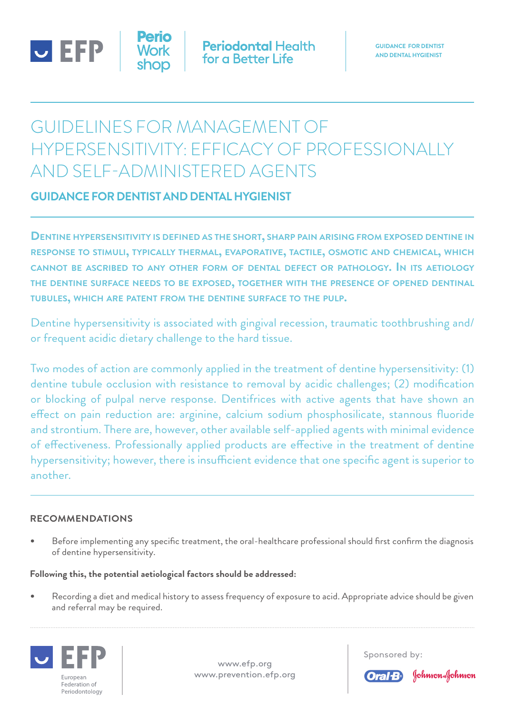

## Guidelines for Management of Hypersensitivity: Efficacy of professionally and self-administered agents

### **Guidance for Dentist and Dental Hygienist**

**Dentine hypersensitivity is defined as the short, sharp pain arising from exposed dentine in response to stimuli, typically thermal, evaporative, tactile, osmotic and chemical, which cannot be ascribed to any other form of dental defect or pathology. In its aetiology the dentine surface needs to be exposed, together with the presence of opened dentinal tubules, which are patent from the dentine surface to the pulp.**

Dentine hypersensitivity is associated with gingival recession, traumatic toothbrushing and/ or frequent acidic dietary challenge to the hard tissue.

Two modes of action are commonly applied in the treatment of dentine hypersensitivity: (1) dentine tubule occlusion with resistance to removal by acidic challenges; (2) modification or blocking of pulpal nerve response. Dentifrices with active agents that have shown an effect on pain reduction are: arginine, calcium sodium phosphosilicate, stannous fluoride and strontium. There are, however, other available self-applied agents with minimal evidence of effectiveness. Professionally applied products are effective in the treatment of dentine hypersensitivity; however, there is insufficient evidence that one specific agent is superior to another.

#### **Recommendations**

Before implementing any specific treatment, the oral-healthcare professional should first confirm the diagnosis of dentine hypersensitivity.

#### **Following this, the potential aetiological factors should be addressed:**

Recording a diet and medical history to assess frequency of exposure to acid. Appropriate advice should be given and referral may be required.



www.efp.org www.prevention.efp.org Sponsored by:



Johnson Johnson